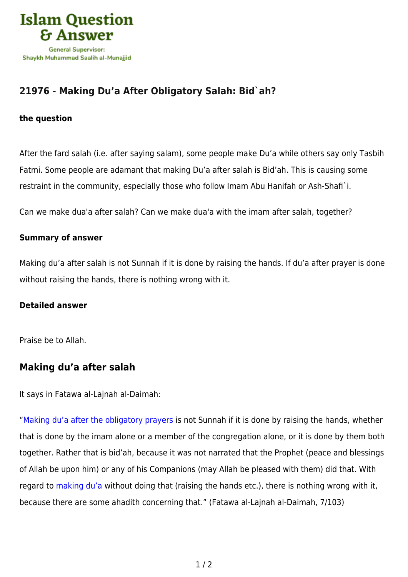

## **[21976 - Making Du'a After Obligatory Salah: Bid`ah?](https://islamqa.com/en/answers/21976/making-dua-after-obligatory-salah-bidah)**

#### **the question**

After the fard salah (i.e. after saying salam), some people make Du'a while others say only Tasbih Fatmi. Some people are adamant that making Du'a after salah is Bid'ah. This is causing some restraint in the community, especially those who follow Imam Abu Hanifah or Ash-Shafi`i.

Can we make dua'a after salah? Can we make dua'a with the imam after salah, together?

### **Summary of answer**

Making du'a after salah is not Sunnah if it is done by raising the hands. If du'a after prayer is done without raising the hands, there is nothing wrong with it.

### **Detailed answer**

Praise be to Allah.

### **Making du'a after salah**

It says in Fatawa al-Lajnah al-Daimah:

"[Making du'a after the obligatory prayers](https://islamqa.com/en/answers/34566) is not Sunnah if it is done by raising the hands, whether that is done by the imam alone or a member of the congregation alone, or it is done by them both together. Rather that is bid'ah, because it was not narrated that the Prophet (peace and blessings of Allah be upon him) or any of his Companions (may Allah be pleased with them) did that. With regard to [making du'a](https://islamqa.com/en/answers/11543) without doing that (raising the hands etc.), there is nothing wrong with it, because there are some ahadith concerning that." (Fatawa al-Lajnah al-Daimah, 7/103)